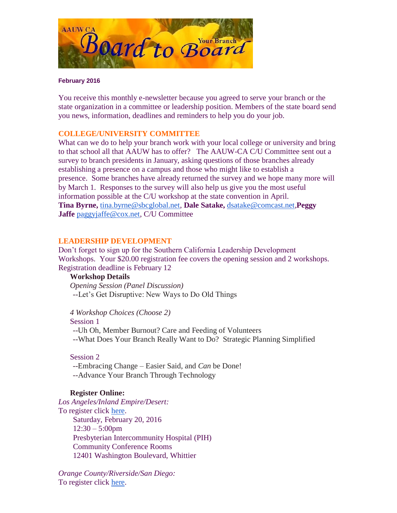

#### **February 2016**

You receive this monthly e-newsletter because you agreed to serve your branch or the state organization in a committee or leadership position. Members of the state board send you news, information, deadlines and reminders to help you do your job.

# **COLLEGE/UNIVERSITY COMMITTEE**

What can we do to help your branch work with your local college or university and bring to that school all that AAUW has to offer? The AAUW-CA C/U Committee sent out a survey to branch presidents in January, asking questions of those branches already establishing a presence on a campus and those who might like to establish a presence. Some branches have already returned the survey and we hope many more will by March 1. Responses to the survey will also help us give you the most useful information possible at the C/U workshop at the state convention in April. **Tina Byrne,** [tina.byrne@sbcglobal.net,](mailto:tina.byrne@sbcglobal.net) **Dale Satake,** [dsatake@comcast.net,](mailto:dsatake@comcast.net)**Peggy Jaffe** [paggyjaffe@cox.net,](mailto:paggyjaffe@cox.net) C/U Committee

### **LEADERSHIP DEVELOPMENT**

Don't forget to sign up for the Southern California Leadership Development Workshops. Your \$20.00 registration fee covers the opening session and 2 workshops. Registration deadline is February 12.

#### **Workshop Details**

*Opening Session (Panel Discussion)* --Let's Get Disruptive: New Ways to Do Old Things

*4 Workshop Choices (Choose 2)*

Session 1

--Uh Oh, Member Burnout? Care and Feeding of Volunteers

--What Does Your Branch Really Want to Do? Strategic Planning Simplified

# Session 2

--Embracing Change – Easier Said, and *Can* be Done! --Advance Your Branch Through Technology

#### **Register Online:**

*Los Angeles/Inland Empire/Desert:*  To register click [here.](https://www.eventbrite.com/e/aauw-ca-leadership-development-workshop-whittier-tickets-20709233876) Saturday, February 20, 2016  $12:30 - 5:00$ pm Presbyterian Intercommunity Hospital (PIH) Community Conference Rooms 12401 Washington Boulevard, Whittier

*Orange County/Riverside/San Diego:*  To register click [here.](https://www.eventbrite.com/e/aauw-ca-leadership-development-workshop-laguna-woods-tickets-20710390335)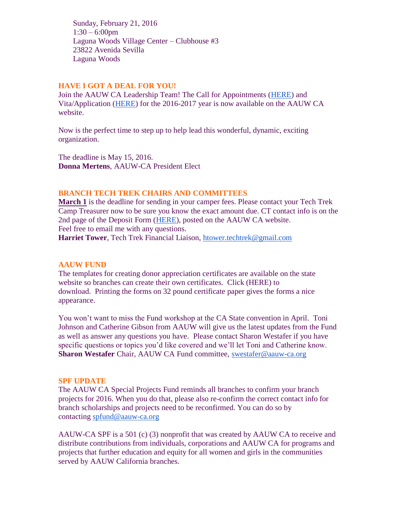Sunday, February 21, 2016 1:30 – 6:00pm Laguna Woods Village Center – Clubhouse #3 23822 Avenida Sevilla Laguna Woods

## **HAVE I GOT A DEAL FOR YOU!**

Join the AAUW CA Leadership Team! The Call for Appointments [\(HERE\)](http://www.aauw-ca.org/Assets/resources/CallforAppointments2016.pdf) and Vita/Application [\(HERE\)](http://www.aauw-ca.org/Assets/resources/AAUWCACommitteeVitaForm.doc) for the 2016-2017 year is now available on the AAUW CA website.

Now is the perfect time to step up to help lead this wonderful, dynamic, exciting organization.

The deadline is May 15, 2016. **Donna Mertens**, AAUW-CA President Elect

## **BRANCH TECH TREK CHAIRS AND COMMITTEES**

**March 1** is the deadline for sending in your camper fees. Please contact your Tech Trek Camp Treasurer now to be sure you know the exact amount due. CT contact info is on the 2nd page of the Deposit Form [\(HERE\)](http://www.aauw-ca.org/Assets/membersonly/Tech_Trek_Deposit_Form_-_Branch_Use_-_Nov2015.xlsx), posted on the AAUW CA website. Feel free to email me with any questions.

**Harriet Tower**, Tech Trek Financial Liaison, [htower.techtrek@gmail.com](mailto:htower.techtrek@gmail.com)

#### **AAUW FUND**

The templates for creating donor appreciation certificates are available on the state website so branches can create their own certificates. Click (HERE) to download. Printing the forms on 32 pound certificate paper gives the forms a nice appearance.

You won't want to miss the Fund workshop at the CA State convention in April. Toni Johnson and Catherine Gibson from AAUW will give us the latest updates from the Fund as well as answer any questions you have. Please contact Sharon Westafer if you have specific questions or topics you'd like covered and we'll let Toni and Catherine know. **Sharon Westafer** Chair, AAUW CA Fund committee, [swestafer@aauw-ca.org](mailto:swestafer@aauw-ca.org)

#### **SPF UPDATE**

The AAUW CA Special Projects Fund reminds all branches to confirm your branch projects for 2016. When you do that, please also re-confirm the correct contact info for branch scholarships and projects need to be reconfirmed. You can do so by contacting [spfund@aauw-ca.org](mailto:spfund@aauw-ca.org)

AAUW-CA SPF is a 501 (c) (3) nonprofit that was created by AAUW CA to receive and distribute contributions from individuals, corporations and AAUW CA for programs and projects that further education and equity for all women and girls in the communities served by AAUW California branches.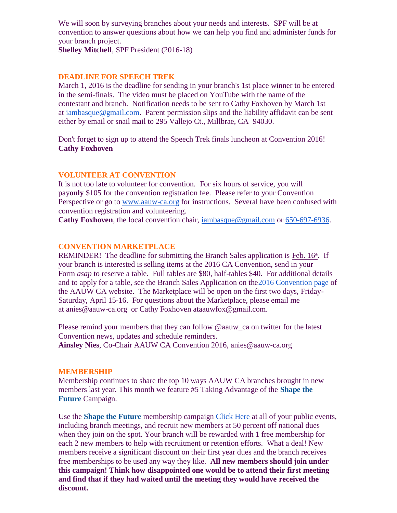We will soon by surveying branches about your needs and interests. SPF will be at convention to answer questions about how we can help you find and administer funds for your branch project.

**Shelley Mitchell**, SPF President (2016-18)

### **DEADLINE FOR SPEECH TREK**

March 1, 2016 is the deadline for sending in your branch's 1st place winner to be entered in the semi-finals. The video must be placed on YouTube with the name of the contestant and branch. Notification needs to be sent to Cathy Foxhoven by March 1st at [iambasque@gmail.com.](mailto:iambasque@gmail.com) Parent permission slips and the liability affidavit can be sent either by email or snail mail to 295 Vallejo Ct., Millbrae, CA 94030.

Don't forget to sign up to attend the Speech Trek finals luncheon at Convention 2016! **Cathy Foxhoven**

### **VOLUNTEER AT CONVENTION**

It is not too late to volunteer for convention. For six hours of service, you will pay**only** \$105 for the convention registration fee. Please refer to your Convention Perspective or go to [www.aauw-ca.org](http://www.aauw-ca.org/) for instructions. Several have been confused with convention registration and volunteering.

**Cathy Foxhoven**, the local convention chair, [iambasque@gmail.com](mailto:iambasque@gmail.com) or [650-697-6936.](tel:650-697-6936)

#### **CONVENTION MARKETPLACE**

REMINDER! The deadline for submitting the Branch Sales application is  $\overline{\text{Feb}}$ . 16<sup>th</sup>. If your branch is interested is selling items at the 2016 CA Convention, send in your Form *asap* to reserve a table. Full tables are \$80, half-tables \$40. For additional details and to apply for a table, see the Branch Sales Application on th[e2016 Convention page](http://www.aauw-ca.org/index.cfm?go=pages.view&parent=462&pagesid=462) of the AAUW CA website. The Marketplace will be open on the first two days, Friday-Saturday, April 15-16. For questions about the Marketplace, please email me at anies@aauw-ca.org or Cathy Foxhoven ataauwfox@gmail.com.

Please remind your members that they can follow @aauw\_ca on twitter for the latest Convention news, updates and schedule reminders. **Ainsley Nies**, Co-Chair AAUW CA Convention 2016, anies@aauw-ca.org

# **MEMBERSHIP**

Membership continues to share the top 10 ways AAUW CA branches brought in new members last year. This month we feature #5 Taking Advantage of the **Shape the Future** Campaign.

Use the **Shape the Future** membership campaign [Click Here](http://www.aauw.org/resource/shape-the-future-membership-campaign/) at all of your public events, including branch meetings, and recruit new members at 50 percent off national dues when they join on the spot. Your branch will be rewarded with 1 free membership for each 2 new members to help with recruitment or retention efforts. What a deal! New members receive a significant discount on their first year dues and the branch receives free memberships to be used any way they like. **All new members should join under this campaign! Think how disappointed one would be to attend their first meeting and find that if they had waited until the meeting they would have received the discount.**